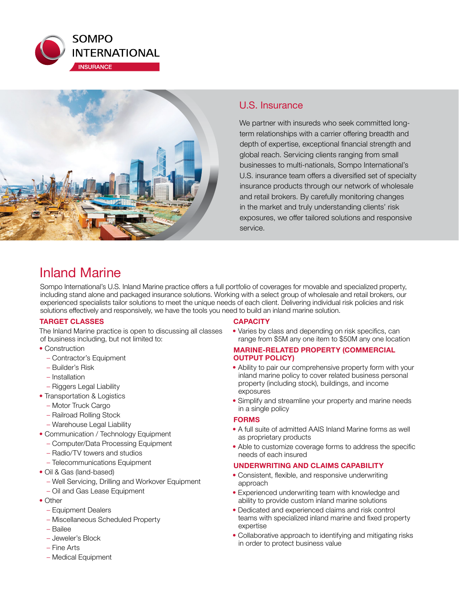



## U.S. Insurance

We partner with insureds who seek committed longterm relationships with a carrier offering breadth and depth of expertise, exceptional financial strength and global reach. Servicing clients ranging from small businesses to multi-nationals, Sompo International's U.S. insurance team offers a diversified set of specialty insurance products through our network of wholesale and retail brokers. By carefully monitoring changes in the market and truly understanding clients' risk exposures, we offer tailored solutions and responsive service.

## Inland Marine

Sompo International's U.S. Inland Marine practice offers a full portfolio of coverages for movable and specialized property, including stand alone and packaged insurance solutions. Working with a select group of wholesale and retail brokers, our experienced specialists tailor solutions to meet the unique needs of each client. Delivering individual risk policies and risk solutions effectively and responsively, we have the tools you need to build an inland marine solution.

## **TARGET CLASSES**

The Inland Marine practice is open to discussing all classes of business including, but not limited to:

- Construction
	- Contractor's Equipment
	- Builder's Risk
	- Installation
	- Riggers Legal Liability
- Transportation & Logistics
	- Motor Truck Cargo
	- Railroad Rolling Stock
	- Warehouse Legal Liability
- Communication / Technology Equipment
- Computer/Data Processing Equipment
- Radio/TV towers and studios
- Telecommunications Equipment
- Oil & Gas (land-based)
	- Well Servicing, Drilling and Workover Equipment
	- Oil and Gas Lease Equipment
- Other
	- Equipment Dealers
	- Miscellaneous Scheduled Property
	- Bailee
	- Jeweler's Block
	- Fine Arts
	- Medical Equipment

#### **CAPACITY**

• Varies by class and depending on risk specifics, can range from \$5M any one item to \$50M any one location

#### **MARINE-RELATED PROPERTY (COMMERCIAL OUTPUT POLICY)**

- Ability to pair our comprehensive property form with your inland marine policy to cover related business personal property (including stock), buildings, and income exposures
- Simplify and streamline your property and marine needs in a single policy

## **FORMS**

- A full suite of admitted AAIS Inland Marine forms as well as proprietary products
- Able to customize coverage forms to address the specific needs of each insured

## **UNDERWRITING AND CLAIMS CAPABILITY**

- Consistent, flexible, and responsive underwriting approach
- Experienced underwriting team with knowledge and ability to provide custom inland marine solutions
- Dedicated and experienced claims and risk control teams with specialized inland marine and fixed property expertise
- Collaborative approach to identifying and mitigating risks in order to protect business value